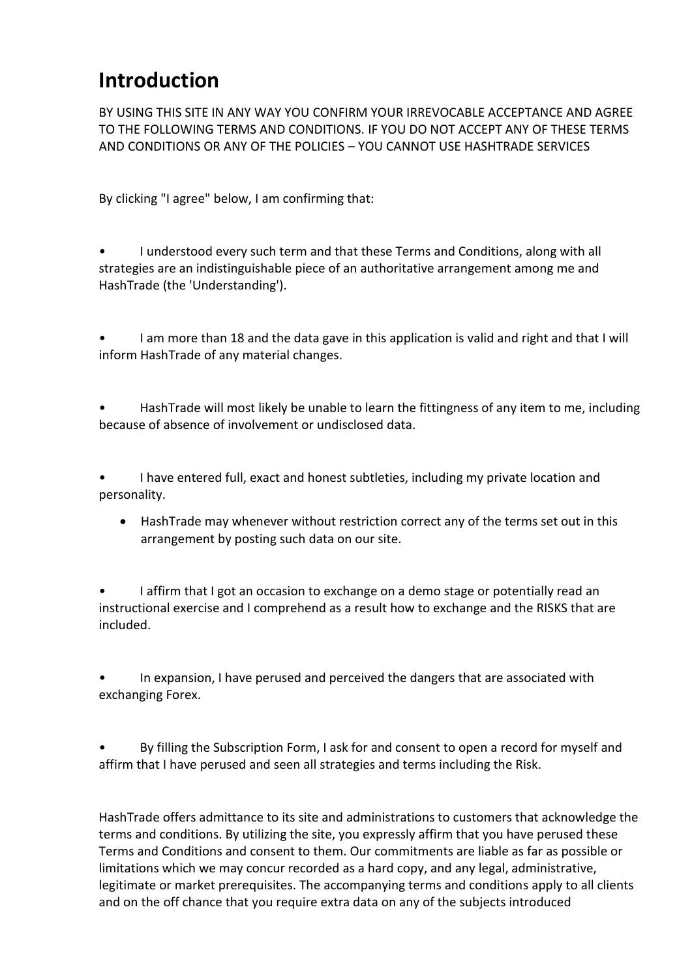## **Introduction**

BY USING THIS SITE IN ANY WAY YOU CONFIRM YOUR IRREVOCABLE ACCEPTANCE AND AGREE TO THE FOLLOWING TERMS AND CONDITIONS. IF YOU DO NOT ACCEPT ANY OF THESE TERMS AND CONDITIONS OR ANY OF THE POLICIES – YOU CANNOT USE HASHTRADE SERVICES

By clicking "I agree" below, I am confirming that:

- I understood every such term and that these Terms and Conditions, along with all strategies are an indistinguishable piece of an authoritative arrangement among me and HashTrade (the 'Understanding').
- I am more than 18 and the data gave in this application is valid and right and that I will inform HashTrade of any material changes.
- HashTrade will most likely be unable to learn the fittingness of any item to me, including because of absence of involvement or undisclosed data.

• I have entered full, exact and honest subtleties, including my private location and personality.

• HashTrade may whenever without restriction correct any of the terms set out in this arrangement by posting such data on our site.

I affirm that I got an occasion to exchange on a demo stage or potentially read an instructional exercise and I comprehend as a result how to exchange and the RISKS that are included.

In expansion, I have perused and perceived the dangers that are associated with exchanging Forex.

By filling the Subscription Form, I ask for and consent to open a record for myself and affirm that I have perused and seen all strategies and terms including the Risk.

HashTrade offers admittance to its site and administrations to customers that acknowledge the terms and conditions. By utilizing the site, you expressly affirm that you have perused these Terms and Conditions and consent to them. Our commitments are liable as far as possible or limitations which we may concur recorded as a hard copy, and any legal, administrative, legitimate or market prerequisites. The accompanying terms and conditions apply to all clients and on the off chance that you require extra data on any of the subjects introduced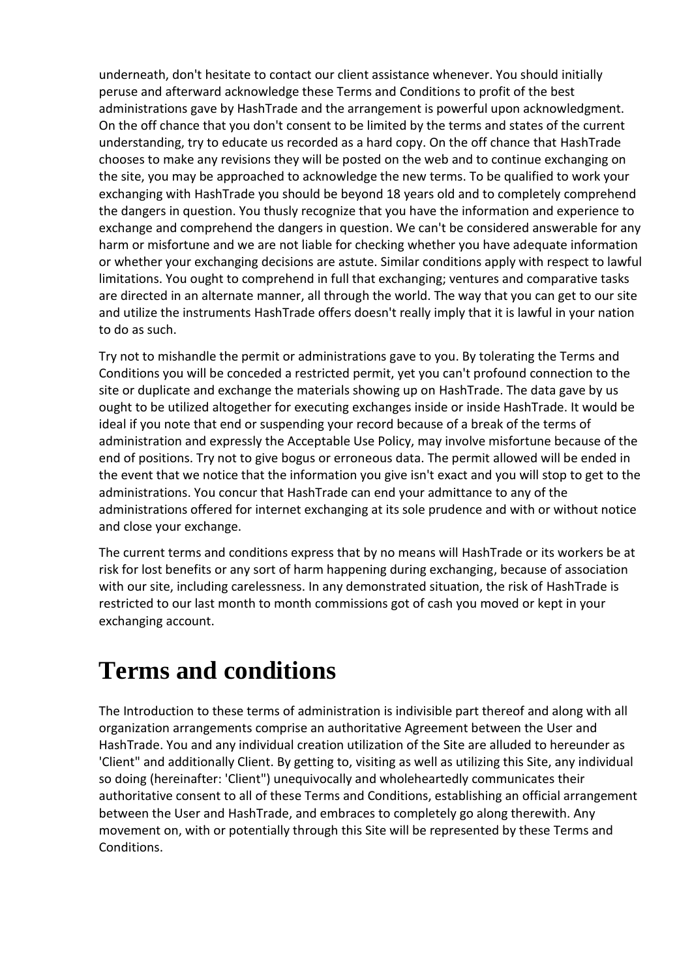underneath, don't hesitate to contact our client assistance whenever. You should initially peruse and afterward acknowledge these Terms and Conditions to profit of the best administrations gave by HashTrade and the arrangement is powerful upon acknowledgment. On the off chance that you don't consent to be limited by the terms and states of the current understanding, try to educate us recorded as a hard copy. On the off chance that HashTrade chooses to make any revisions they will be posted on the web and to continue exchanging on the site, you may be approached to acknowledge the new terms. To be qualified to work your exchanging with HashTrade you should be beyond 18 years old and to completely comprehend the dangers in question. You thusly recognize that you have the information and experience to exchange and comprehend the dangers in question. We can't be considered answerable for any harm or misfortune and we are not liable for checking whether you have adequate information or whether your exchanging decisions are astute. Similar conditions apply with respect to lawful limitations. You ought to comprehend in full that exchanging; ventures and comparative tasks are directed in an alternate manner, all through the world. The way that you can get to our site and utilize the instruments HashTrade offers doesn't really imply that it is lawful in your nation to do as such.

Try not to mishandle the permit or administrations gave to you. By tolerating the Terms and Conditions you will be conceded a restricted permit, yet you can't profound connection to the site or duplicate and exchange the materials showing up on HashTrade. The data gave by us ought to be utilized altogether for executing exchanges inside or inside HashTrade. It would be ideal if you note that end or suspending your record because of a break of the terms of administration and expressly the Acceptable Use Policy, may involve misfortune because of the end of positions. Try not to give bogus or erroneous data. The permit allowed will be ended in the event that we notice that the information you give isn't exact and you will stop to get to the administrations. You concur that HashTrade can end your admittance to any of the administrations offered for internet exchanging at its sole prudence and with or without notice and close your exchange.

The current terms and conditions express that by no means will HashTrade or its workers be at risk for lost benefits or any sort of harm happening during exchanging, because of association with our site, including carelessness. In any demonstrated situation, the risk of HashTrade is restricted to our last month to month commissions got of cash you moved or kept in your exchanging account.

## **Terms and conditions**

The Introduction to these terms of administration is indivisible part thereof and along with all organization arrangements comprise an authoritative Agreement between the User and HashTrade. You and any individual creation utilization of the Site are alluded to hereunder as 'Client" and additionally Client. By getting to, visiting as well as utilizing this Site, any individual so doing (hereinafter: 'Client") unequivocally and wholeheartedly communicates their authoritative consent to all of these Terms and Conditions, establishing an official arrangement between the User and HashTrade, and embraces to completely go along therewith. Any movement on, with or potentially through this Site will be represented by these Terms and Conditions.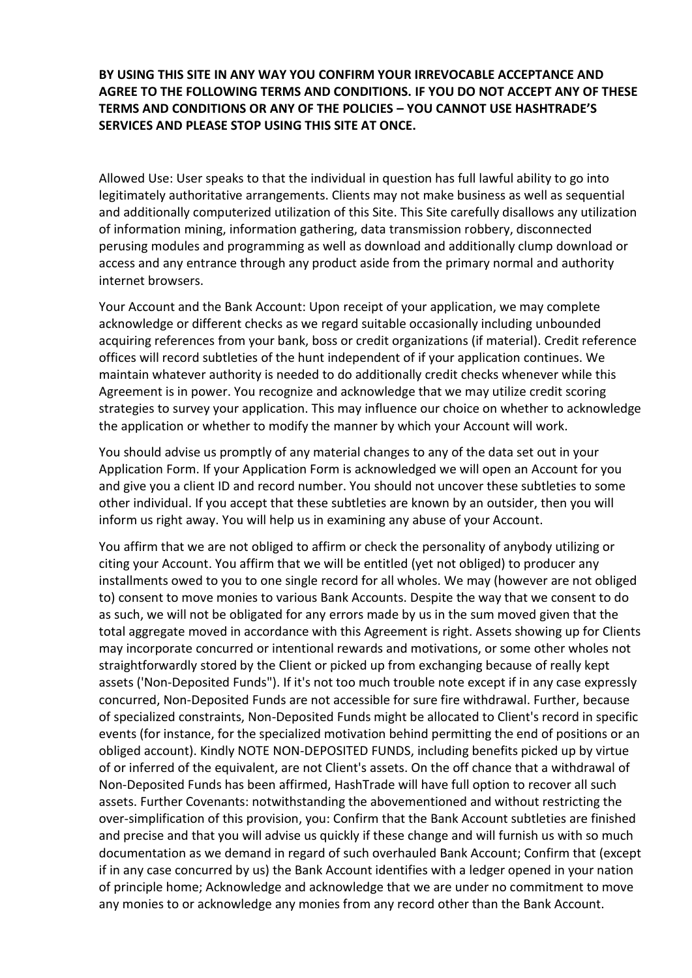**BY USING THIS SITE IN ANY WAY YOU CONFIRM YOUR IRREVOCABLE ACCEPTANCE AND AGREE TO THE FOLLOWING TERMS AND CONDITIONS. IF YOU DO NOT ACCEPT ANY OF THESE TERMS AND CONDITIONS OR ANY OF THE POLICIES – YOU CANNOT USE HASHTRADE'S SERVICES AND PLEASE STOP USING THIS SITE AT ONCE.** 

Allowed Use: User speaks to that the individual in question has full lawful ability to go into legitimately authoritative arrangements. Clients may not make business as well as sequential and additionally computerized utilization of this Site. This Site carefully disallows any utilization of information mining, information gathering, data transmission robbery, disconnected perusing modules and programming as well as download and additionally clump download or access and any entrance through any product aside from the primary normal and authority internet browsers.

Your Account and the Bank Account: Upon receipt of your application, we may complete acknowledge or different checks as we regard suitable occasionally including unbounded acquiring references from your bank, boss or credit organizations (if material). Credit reference offices will record subtleties of the hunt independent of if your application continues. We maintain whatever authority is needed to do additionally credit checks whenever while this Agreement is in power. You recognize and acknowledge that we may utilize credit scoring strategies to survey your application. This may influence our choice on whether to acknowledge the application or whether to modify the manner by which your Account will work.

You should advise us promptly of any material changes to any of the data set out in your Application Form. If your Application Form is acknowledged we will open an Account for you and give you a client ID and record number. You should not uncover these subtleties to some other individual. If you accept that these subtleties are known by an outsider, then you will inform us right away. You will help us in examining any abuse of your Account.

You affirm that we are not obliged to affirm or check the personality of anybody utilizing or citing your Account. You affirm that we will be entitled (yet not obliged) to producer any installments owed to you to one single record for all wholes. We may (however are not obliged to) consent to move monies to various Bank Accounts. Despite the way that we consent to do as such, we will not be obligated for any errors made by us in the sum moved given that the total aggregate moved in accordance with this Agreement is right. Assets showing up for Clients may incorporate concurred or intentional rewards and motivations, or some other wholes not straightforwardly stored by the Client or picked up from exchanging because of really kept assets ('Non-Deposited Funds"). If it's not too much trouble note except if in any case expressly concurred, Non-Deposited Funds are not accessible for sure fire withdrawal. Further, because of specialized constraints, Non-Deposited Funds might be allocated to Client's record in specific events (for instance, for the specialized motivation behind permitting the end of positions or an obliged account). Kindly NOTE NON-DEPOSITED FUNDS, including benefits picked up by virtue of or inferred of the equivalent, are not Client's assets. On the off chance that a withdrawal of Non-Deposited Funds has been affirmed, HashTrade will have full option to recover all such assets. Further Covenants: notwithstanding the abovementioned and without restricting the over-simplification of this provision, you: Confirm that the Bank Account subtleties are finished and precise and that you will advise us quickly if these change and will furnish us with so much documentation as we demand in regard of such overhauled Bank Account; Confirm that (except if in any case concurred by us) the Bank Account identifies with a ledger opened in your nation of principle home; Acknowledge and acknowledge that we are under no commitment to move any monies to or acknowledge any monies from any record other than the Bank Account.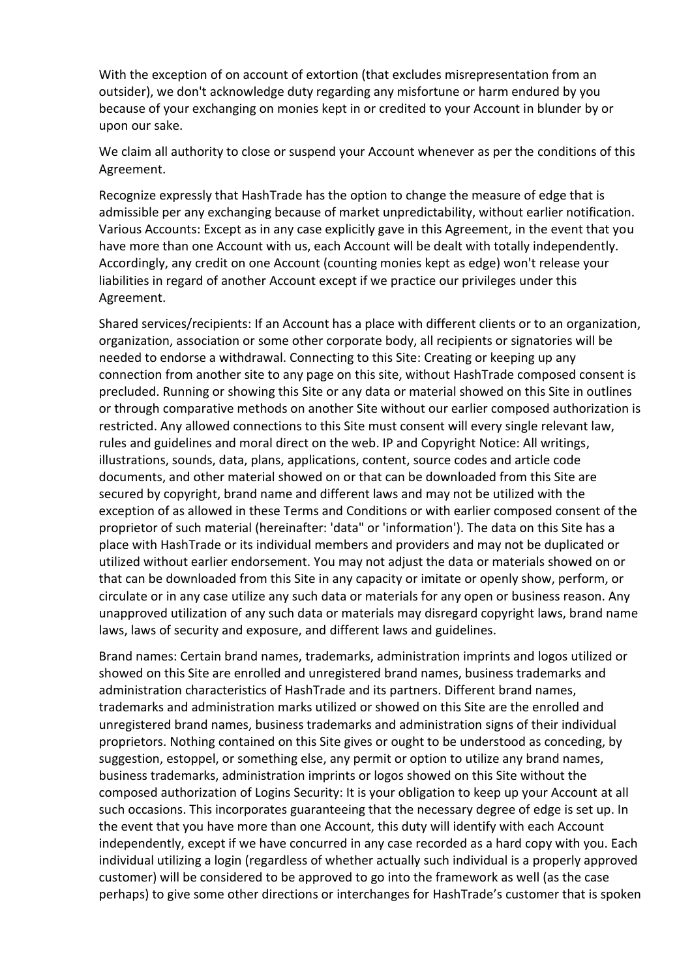With the exception of on account of extortion (that excludes misrepresentation from an outsider), we don't acknowledge duty regarding any misfortune or harm endured by you because of your exchanging on monies kept in or credited to your Account in blunder by or upon our sake.

We claim all authority to close or suspend your Account whenever as per the conditions of this Agreement.

Recognize expressly that HashTrade has the option to change the measure of edge that is admissible per any exchanging because of market unpredictability, without earlier notification. Various Accounts: Except as in any case explicitly gave in this Agreement, in the event that you have more than one Account with us, each Account will be dealt with totally independently. Accordingly, any credit on one Account (counting monies kept as edge) won't release your liabilities in regard of another Account except if we practice our privileges under this Agreement.

Shared services/recipients: If an Account has a place with different clients or to an organization, organization, association or some other corporate body, all recipients or signatories will be needed to endorse a withdrawal. Connecting to this Site: Creating or keeping up any connection from another site to any page on this site, without HashTrade composed consent is precluded. Running or showing this Site or any data or material showed on this Site in outlines or through comparative methods on another Site without our earlier composed authorization is restricted. Any allowed connections to this Site must consent will every single relevant law, rules and guidelines and moral direct on the web. IP and Copyright Notice: All writings, illustrations, sounds, data, plans, applications, content, source codes and article code documents, and other material showed on or that can be downloaded from this Site are secured by copyright, brand name and different laws and may not be utilized with the exception of as allowed in these Terms and Conditions or with earlier composed consent of the proprietor of such material (hereinafter: 'data" or 'information'). The data on this Site has a place with HashTrade or its individual members and providers and may not be duplicated or utilized without earlier endorsement. You may not adjust the data or materials showed on or that can be downloaded from this Site in any capacity or imitate or openly show, perform, or circulate or in any case utilize any such data or materials for any open or business reason. Any unapproved utilization of any such data or materials may disregard copyright laws, brand name laws, laws of security and exposure, and different laws and guidelines.

Brand names: Certain brand names, trademarks, administration imprints and logos utilized or showed on this Site are enrolled and unregistered brand names, business trademarks and administration characteristics of HashTrade and its partners. Different brand names, trademarks and administration marks utilized or showed on this Site are the enrolled and unregistered brand names, business trademarks and administration signs of their individual proprietors. Nothing contained on this Site gives or ought to be understood as conceding, by suggestion, estoppel, or something else, any permit or option to utilize any brand names, business trademarks, administration imprints or logos showed on this Site without the composed authorization of Logins Security: It is your obligation to keep up your Account at all such occasions. This incorporates guaranteeing that the necessary degree of edge is set up. In the event that you have more than one Account, this duty will identify with each Account independently, except if we have concurred in any case recorded as a hard copy with you. Each individual utilizing a login (regardless of whether actually such individual is a properly approved customer) will be considered to be approved to go into the framework as well (as the case perhaps) to give some other directions or interchanges for HashTrade's customer that is spoken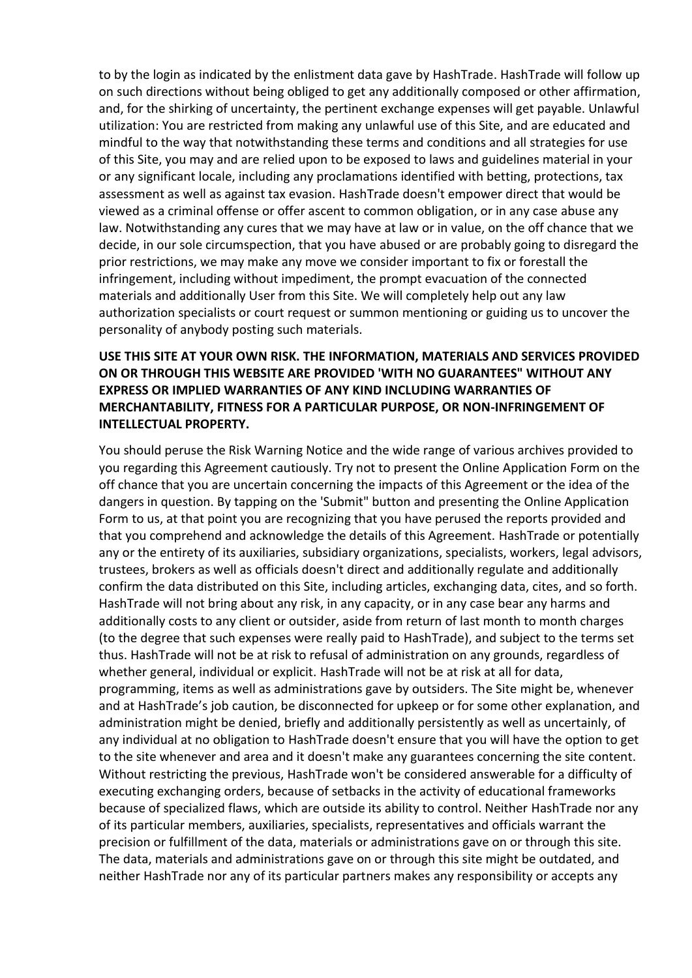to by the login as indicated by the enlistment data gave by HashTrade. HashTrade will follow up on such directions without being obliged to get any additionally composed or other affirmation, and, for the shirking of uncertainty, the pertinent exchange expenses will get payable. Unlawful utilization: You are restricted from making any unlawful use of this Site, and are educated and mindful to the way that notwithstanding these terms and conditions and all strategies for use of this Site, you may and are relied upon to be exposed to laws and guidelines material in your or any significant locale, including any proclamations identified with betting, protections, tax assessment as well as against tax evasion. HashTrade doesn't empower direct that would be viewed as a criminal offense or offer ascent to common obligation, or in any case abuse any law. Notwithstanding any cures that we may have at law or in value, on the off chance that we decide, in our sole circumspection, that you have abused or are probably going to disregard the prior restrictions, we may make any move we consider important to fix or forestall the infringement, including without impediment, the prompt evacuation of the connected materials and additionally User from this Site. We will completely help out any law authorization specialists or court request or summon mentioning or guiding us to uncover the personality of anybody posting such materials.

## **USE THIS SITE AT YOUR OWN RISK. THE INFORMATION, MATERIALS AND SERVICES PROVIDED ON OR THROUGH THIS WEBSITE ARE PROVIDED 'WITH NO GUARANTEES" WITHOUT ANY EXPRESS OR IMPLIED WARRANTIES OF ANY KIND INCLUDING WARRANTIES OF MERCHANTABILITY, FITNESS FOR A PARTICULAR PURPOSE, OR NON-INFRINGEMENT OF INTELLECTUAL PROPERTY.**

You should peruse the Risk Warning Notice and the wide range of various archives provided to you regarding this Agreement cautiously. Try not to present the Online Application Form on the off chance that you are uncertain concerning the impacts of this Agreement or the idea of the dangers in question. By tapping on the 'Submit" button and presenting the Online Application Form to us, at that point you are recognizing that you have perused the reports provided and that you comprehend and acknowledge the details of this Agreement. HashTrade or potentially any or the entirety of its auxiliaries, subsidiary organizations, specialists, workers, legal advisors, trustees, brokers as well as officials doesn't direct and additionally regulate and additionally confirm the data distributed on this Site, including articles, exchanging data, cites, and so forth. HashTrade will not bring about any risk, in any capacity, or in any case bear any harms and additionally costs to any client or outsider, aside from return of last month to month charges (to the degree that such expenses were really paid to HashTrade), and subject to the terms set thus. HashTrade will not be at risk to refusal of administration on any grounds, regardless of whether general, individual or explicit. HashTrade will not be at risk at all for data, programming, items as well as administrations gave by outsiders. The Site might be, whenever and at HashTrade's job caution, be disconnected for upkeep or for some other explanation, and administration might be denied, briefly and additionally persistently as well as uncertainly, of any individual at no obligation to HashTrade doesn't ensure that you will have the option to get to the site whenever and area and it doesn't make any guarantees concerning the site content. Without restricting the previous, HashTrade won't be considered answerable for a difficulty of executing exchanging orders, because of setbacks in the activity of educational frameworks because of specialized flaws, which are outside its ability to control. Neither HashTrade nor any of its particular members, auxiliaries, specialists, representatives and officials warrant the precision or fulfillment of the data, materials or administrations gave on or through this site. The data, materials and administrations gave on or through this site might be outdated, and neither HashTrade nor any of its particular partners makes any responsibility or accepts any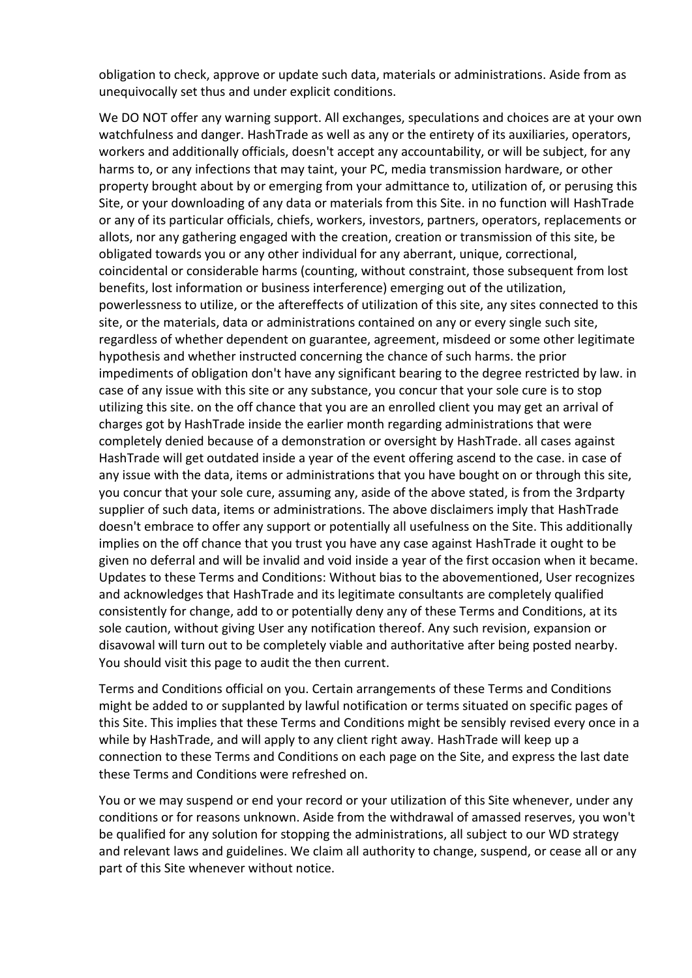obligation to check, approve or update such data, materials or administrations. Aside from as unequivocally set thus and under explicit conditions.

We DO NOT offer any warning support. All exchanges, speculations and choices are at your own watchfulness and danger. HashTrade as well as any or the entirety of its auxiliaries, operators, workers and additionally officials, doesn't accept any accountability, or will be subject, for any harms to, or any infections that may taint, your PC, media transmission hardware, or other property brought about by or emerging from your admittance to, utilization of, or perusing this Site, or your downloading of any data or materials from this Site. in no function will HashTrade or any of its particular officials, chiefs, workers, investors, partners, operators, replacements or allots, nor any gathering engaged with the creation, creation or transmission of this site, be obligated towards you or any other individual for any aberrant, unique, correctional, coincidental or considerable harms (counting, without constraint, those subsequent from lost benefits, lost information or business interference) emerging out of the utilization, powerlessness to utilize, or the aftereffects of utilization of this site, any sites connected to this site, or the materials, data or administrations contained on any or every single such site, regardless of whether dependent on guarantee, agreement, misdeed or some other legitimate hypothesis and whether instructed concerning the chance of such harms. the prior impediments of obligation don't have any significant bearing to the degree restricted by law. in case of any issue with this site or any substance, you concur that your sole cure is to stop utilizing this site. on the off chance that you are an enrolled client you may get an arrival of charges got by HashTrade inside the earlier month regarding administrations that were completely denied because of a demonstration or oversight by HashTrade. all cases against HashTrade will get outdated inside a year of the event offering ascend to the case. in case of any issue with the data, items or administrations that you have bought on or through this site, you concur that your sole cure, assuming any, aside of the above stated, is from the 3rdparty supplier of such data, items or administrations. The above disclaimers imply that HashTrade doesn't embrace to offer any support or potentially all usefulness on the Site. This additionally implies on the off chance that you trust you have any case against HashTrade it ought to be given no deferral and will be invalid and void inside a year of the first occasion when it became. Updates to these Terms and Conditions: Without bias to the abovementioned, User recognizes and acknowledges that HashTrade and its legitimate consultants are completely qualified consistently for change, add to or potentially deny any of these Terms and Conditions, at its sole caution, without giving User any notification thereof. Any such revision, expansion or disavowal will turn out to be completely viable and authoritative after being posted nearby. You should visit this page to audit the then current.

Terms and Conditions official on you. Certain arrangements of these Terms and Conditions might be added to or supplanted by lawful notification or terms situated on specific pages of this Site. This implies that these Terms and Conditions might be sensibly revised every once in a while by HashTrade, and will apply to any client right away. HashTrade will keep up a connection to these Terms and Conditions on each page on the Site, and express the last date these Terms and Conditions were refreshed on.

You or we may suspend or end your record or your utilization of this Site whenever, under any conditions or for reasons unknown. Aside from the withdrawal of amassed reserves, you won't be qualified for any solution for stopping the administrations, all subject to our WD strategy and relevant laws and guidelines. We claim all authority to change, suspend, or cease all or any part of this Site whenever without notice.